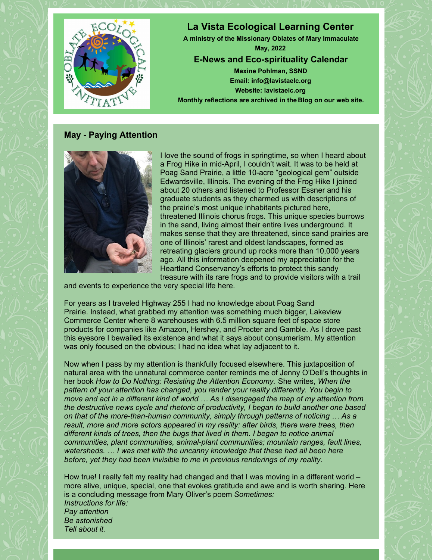

#### **May - Paying Attention**



I love the sound of frogs in springtime, so when I heard about a Frog Hike in mid-April, I couldn't wait. It was to be held at Poag Sand Prairie, a little 10-acre "geological gem" outside Edwardsville, Illinois. The evening of the Frog Hike I joined about 20 others and listened to Professor Essner and his graduate students as they charmed us with descriptions of the prairie's most unique inhabitants pictured here, threatened Illinois chorus frogs. This unique species burrows in the sand, living almost their entire lives underground. It makes sense that they are threatened, since sand prairies are one of Illinois' rarest and oldest landscapes, formed as retreating glaciers ground up rocks more than 10,000 years ago. All this information deepened my appreciation for the Heartland Conservancy's efforts to protect this sandy treasure with its rare frogs and to provide visitors with a trail

and events to experience the very special life here.

For years as I traveled Highway 255 I had no knowledge about Poag Sand Prairie. Instead, what grabbed my attention was something much bigger, Lakeview Commerce Center where 8 warehouses with 6.5 million square feet of space store products for companies like Amazon, Hershey, and Procter and Gamble. As I drove past this eyesore I bewailed its existence and what it says about consumerism. My attention was only focused on the obvious; I had no idea what lay adjacent to it.

Now when I pass by my attention is thankfully focused elsewhere. This juxtaposition of natural area with the unnatural commerce center reminds me of Jenny O'Dell's thoughts in her book *How to Do Nothing: Resisting the Attention Economy.* She writes, *When the pattern of your attention has changed, you render your reality differently. You begin to move and act in a different kind of world … As I disengaged the map of my attention from the destructive news cycle and rhetoric of productivity, I began to build another one based on that of the more-than-human community, simply through patterns of noticing … As a result, more and more actors appeared in my reality: after birds, there were trees, then different kinds of trees, then the bugs that lived in them. I began to notice animal communities, plant communities, animal-plant communities; mountain ranges, fault lines, watersheds. … I was met with the uncanny knowledge that these had all been here before, yet they had been invisible to me in previous renderings of my reality*.

How true! I really felt my reality had changed and that I was moving in a different world – more alive, unique, special, one that evokes gratitude and awe and is worth sharing. Here is a concluding message from Mary Oliver's poem *Sometimes: Instructions for life: Pay attention Be astonished Tell about it.*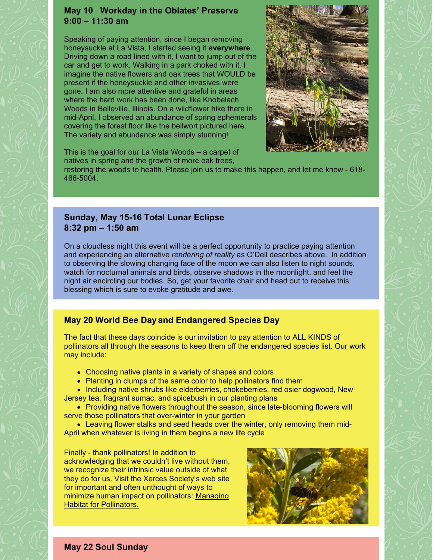#### **May 10 Workday in the Oblates' Preserve 9:00 – 11:30 am**

Speaking of paying attention, since I began removing honeysuckle at La Vista, I started seeing it **everywhere**. Driving down a road lined with it, I want to jump out of the car and get to work. Walking in a park choked with it, I imagine the native flowers and oak trees that WOULD be present if the honeysuckle and other invasives were gone. I am also more attentive and grateful in areas where the hard work has been done, like Knobelach Woods in Belleville, Illinois. On a wildflower hike there in mid-April, I observed an abundance of spring ephemerals covering the forest floor like the bellwort pictured here. The variety and abundance was simply stunning!



This is the goal for our La Vista Woods – a carpet of natives in spring and the growth of more oak trees,

restoring the woods to health. Please join us to make this happen, and let me know - 618- 466-5004.

## **Sunday, May 15-16 Total Lunar Eclipse 8:32 pm – 1:50 am**

On a cloudless night this event will be a perfect opportunity to practice paying attention and experiencing an alternative *rendering of reality* as O'Dell describes above. In addition to observing the slowing changing face of the moon we can also listen to night sounds, watch for nocturnal animals and birds, observe shadows in the moonlight, and feel the night air encircling our bodies. So, get your favorite chair and head out to receive this blessing which is sure to evoke gratitude and awe.

# **May 20 World Bee Day and Endangered Species Day**

The fact that these days coincide is our invitation to pay attention to ALL KINDS of pollinators all through the seasons to keep them off the endangered species list. Our work may include:

- Choosing native plants in a variety of shapes and colors
- Planting in clumps of the same color to help pollinators find them
- Including native shrubs like elderberries, chokeberries, red osier dogwood, New Jersey tea, fragrant sumac, and spicebush in our planting plans
- Providing native flowers throughout the season, since late-blooming flowers will serve those pollinators that over-winter in your garden
- Leaving flower stalks and seed heads over the winter, only removing them mid-April when whatever is living in them begins a new life cycle

Finally - thank pollinators! In addition to acknowledging that we couldn't live without them, we recognize their intrinsic value outside of what they do for us. Visit the Xerces Society's web site for important and often unthought of ways to minimize human impact on [pollinators:](https://www.xerces.org/pollinator-conservation/habitat-restoration/management) Managing **Habitat for Pollinators.** 



**May 22 Soul Sunday**